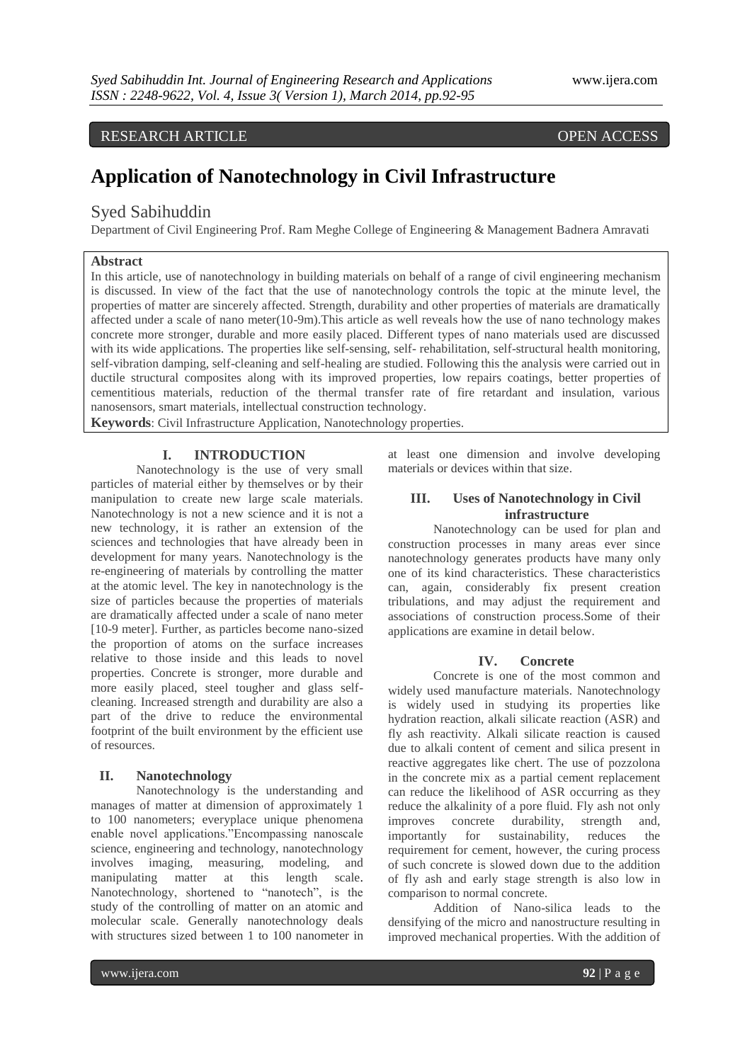## RESEARCH ARTICLE OPEN ACCESS

# **Application of Nanotechnology in Civil Infrastructure**

### Syed Sabihuddin

Department of Civil Engineering Prof. Ram Meghe College of Engineering & Management Badnera Amravati

#### **Abstract**

In this article, use of nanotechnology in building materials on behalf of a range of civil engineering mechanism is discussed. In view of the fact that the use of nanotechnology controls the topic at the minute level, the properties of matter are sincerely affected. Strength, durability and other properties of materials are dramatically affected under a scale of nano meter(10-9m).This article as well reveals how the use of nano technology makes concrete more stronger, durable and more easily placed. Different types of nano materials used are discussed with its wide applications. The properties like self-sensing, self- rehabilitation, self-structural health monitoring, self-vibration damping, self-cleaning and self-healing are studied. Following this the analysis were carried out in ductile structural composites along with its improved properties, low repairs coatings, better properties of cementitious materials, reduction of the thermal transfer rate of fire retardant and insulation, various nanosensors, smart materials, intellectual construction technology.

**Keywords**: Civil Infrastructure Application, Nanotechnology properties.

#### **I. INTRODUCTION**

Nanotechnology is the use of very small particles of material either by themselves or by their manipulation to create new large scale materials. Nanotechnology is not a new science and it is not a new technology, it is rather an extension of the sciences and technologies that have already been in development for many years. Nanotechnology is the re-engineering of materials by controlling the matter at the atomic level. The key in nanotechnology is the size of particles because the properties of materials are dramatically affected under a scale of nano meter [10-9 meter]. Further, as particles become nano-sized the proportion of atoms on the surface increases relative to those inside and this leads to novel properties. Concrete is stronger, more durable and more easily placed, steel tougher and glass selfcleaning. Increased strength and durability are also a part of the drive to reduce the environmental footprint of the built environment by the efficient use of resources.

#### **II. Nanotechnology**

Nanotechnology is the understanding and manages of matter at dimension of approximately 1 to 100 nanometers; everyplace unique phenomena enable novel applications."Encompassing nanoscale science, engineering and technology, nanotechnology involves imaging, measuring, modeling, and manipulating matter at this length scale. Nanotechnology, shortened to "nanotech", is the study of the controlling of matter on an atomic and molecular scale. Generally nanotechnology deals with structures sized between 1 to 100 nanometer in

at least one dimension and involve developing materials or devices within that size.

#### **III. Uses of Nanotechnology in Civil infrastructure**

Nanotechnology can be used for plan and construction processes in many areas ever since nanotechnology generates products have many only one of its kind characteristics. These characteristics can, again, considerably fix present creation tribulations, and may adjust the requirement and associations of construction process.Some of their applications are examine in detail below.

#### **IV. Concrete**

Concrete is one of the most common and widely used manufacture materials. Nanotechnology is widely used in studying its properties like hydration reaction, alkali silicate reaction (ASR) and fly ash reactivity. Alkali silicate reaction is caused due to alkali content of cement and silica present in reactive aggregates like chert. The use of pozzolona in the concrete mix as a partial cement replacement can reduce the likelihood of ASR occurring as they reduce the alkalinity of a pore fluid. Fly ash not only improves concrete durability, strength and, importantly for sustainability, reduces the requirement for cement, however, the curing process of such concrete is slowed down due to the addition of fly ash and early stage strength is also low in comparison to normal concrete.

Addition of Nano-silica leads to the densifying of the micro and nanostructure resulting in improved mechanical properties. With the addition of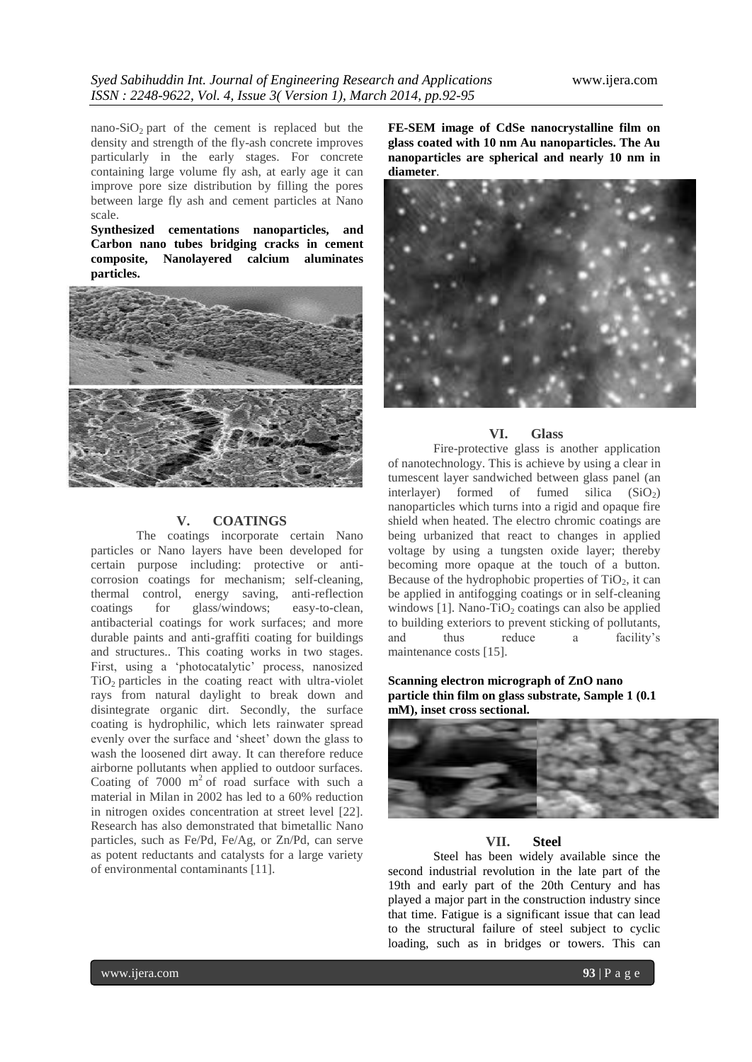nano-SiO<sub>2</sub> part of the cement is replaced but the density and strength of the fly-ash concrete improves particularly in the early stages. For concrete containing large volume fly ash, at early age it can improve pore size distribution by filling the pores between large fly ash and cement particles at Nano scale.

**Synthesized cementations nanoparticles, and Carbon nano tubes bridging cracks in cement composite, Nanolayered calcium aluminates particles.**



#### **V. COATINGS**

The coatings incorporate certain Nano particles or Nano layers have been developed for certain purpose including: protective or anticorrosion coatings for mechanism; self-cleaning, thermal control, energy saving, anti-reflection coatings for glass/windows; easy-to-clean, antibacterial coatings for work surfaces; and more durable paints and anti-graffiti coating for buildings and structures.. This coating works in two stages. First, using a 'photocatalytic' process, nanosized  $TiO<sub>2</sub>$  particles in the coating react with ultra-violet rays from natural daylight to break down and disintegrate organic dirt. Secondly, the surface coating is hydrophilic, which lets rainwater spread evenly over the surface and "sheet" down the glass to wash the loosened dirt away. It can therefore reduce airborne pollutants when applied to outdoor surfaces. Coating of  $7000 \text{ m}^2$  of road surface with such a material in Milan in 2002 has led to a 60% reduction in nitrogen oxides concentration at street level [22]. Research has also demonstrated that bimetallic Nano particles, such as Fe/Pd, Fe/Ag, or Zn/Pd, can serve as potent reductants and catalysts for a large variety of environmental contaminants [11].

**FE-SEM image of CdSe nanocrystalline film on glass coated with 10 nm Au nanoparticles. The Au nanoparticles are spherical and nearly 10 nm in diameter**.



#### **VI. Glass**

Fire-protective glass is another application of nanotechnology. This is achieve by using a clear in tumescent layer sandwiched between glass panel (an interlayer) formed of fumed silica  $(SiO<sub>2</sub>)$ nanoparticles which turns into a rigid and opaque fire shield when heated. The electro chromic coatings are being urbanized that react to changes in applied voltage by using a tungsten oxide layer; thereby becoming more opaque at the touch of a button. Because of the hydrophobic properties of  $TiO<sub>2</sub>$ , it can be applied in antifogging coatings or in self-cleaning windows  $[1]$ . Nano-TiO<sub>2</sub> coatings can also be applied to building exteriors to prevent sticking of pollutants, and thus reduce a facility"s maintenance costs [15].

**Scanning electron micrograph of ZnO nano particle thin film on glass substrate, Sample 1 (0.1 mM), inset cross sectional.**



#### **VII. Steel**

Steel has been widely available since the second industrial revolution in the late part of the 19th and early part of the 20th Century and has played a major part in the construction industry since that time. Fatigue is a significant issue that can lead to the structural failure of steel subject to cyclic loading, such as in bridges or towers. This can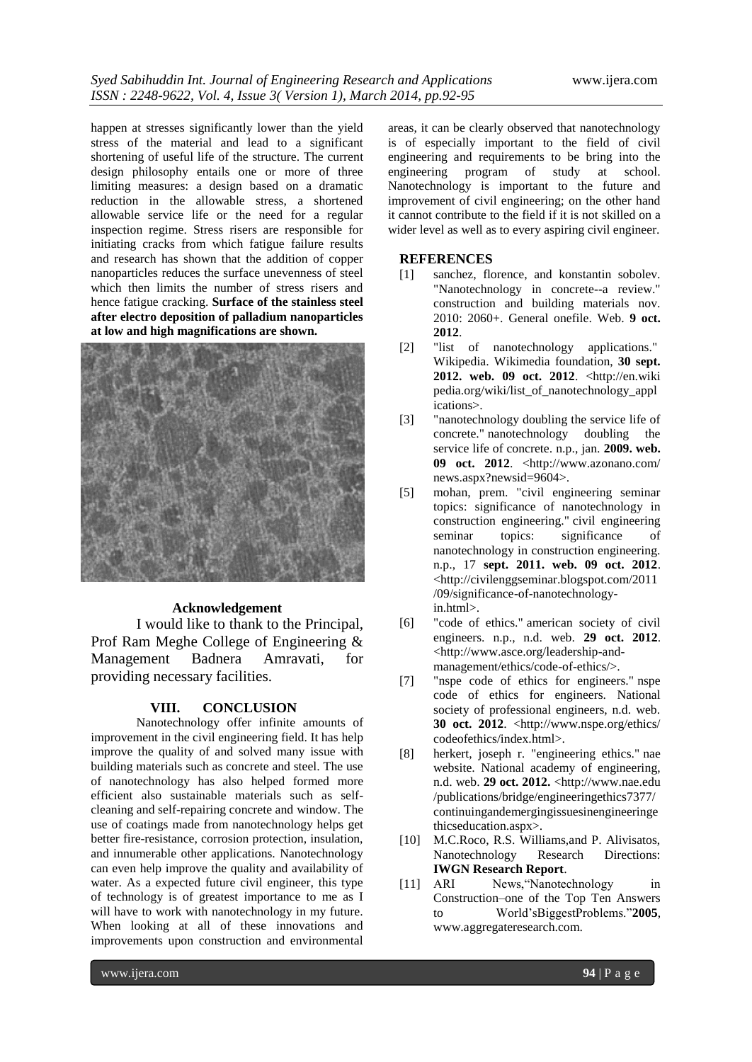happen at stresses significantly lower than the yield stress of the material and lead to a significant shortening of useful life of the structure. The current design philosophy entails one or more of three limiting measures: a design based on a dramatic reduction in the allowable stress, a shortened allowable service life or the need for a regular inspection regime. Stress risers are responsible for initiating cracks from which fatigue failure results and research has shown that the addition of copper nanoparticles reduces the surface unevenness of steel which then limits the number of stress risers and hence fatigue cracking. **Surface of the stainless steel after electro deposition of palladium nanoparticles at low and high magnifications are shown.**



#### **Acknowledgement**

I would like to thank to the Principal, Prof Ram Meghe College of Engineering & Management Badnera Amravati, for providing necessary facilities.

#### **VIII. CONCLUSION**

Nanotechnology offer infinite amounts of improvement in the civil engineering field. It has help improve the quality of and solved many issue with building materials such as concrete and steel. The use of nanotechnology has also helped formed more efficient also sustainable materials such as selfcleaning and self-repairing concrete and window. The use of coatings made from nanotechnology helps get better fire-resistance, corrosion protection, insulation, and innumerable other applications. Nanotechnology can even help improve the quality and availability of water. As a expected future civil engineer, this type of technology is of greatest importance to me as I will have to work with nanotechnology in my future. When looking at all of these innovations and improvements upon construction and environmental

areas, it can be clearly observed that nanotechnology is of especially important to the field of civil engineering and requirements to be bring into the engineering program of study at school. Nanotechnology is important to the future and improvement of civil engineering; on the other hand it cannot contribute to the field if it is not skilled on a wider level as well as to every aspiring civil engineer.

#### **REFERENCES**

- [1] sanchez, florence, and konstantin sobolev. "Nanotechnology in concrete--a review." construction and building materials nov. 2010: 2060+. General onefile. Web. **9 oct. 2012**.
- [2] "list of nanotechnology applications." Wikipedia. Wikimedia foundation, **30 sept. 2012. web. 09 oct. 2012**. <http://en.wiki pedia.org/wiki/list\_of\_nanotechnology\_appl ications>.
- [3] "nanotechnology doubling the service life of concrete." nanotechnology doubling the service life of concrete. n.p., jan. **2009. web. 09 oct. 2012**. <http://www.azonano.com/ news.aspx?newsid=9604>.
- [5] mohan, prem. "civil engineering seminar topics: significance of nanotechnology in construction engineering." civil engineering seminar topics: significance of nanotechnology in construction engineering. n.p., 17 **sept. 2011. web. 09 oct. 2012**. <http://civilenggseminar.blogspot.com/2011 /09/significance-of-nanotechnologyin.html>.
- [6] "code of ethics." american society of civil engineers. n.p., n.d. web. **29 oct. 2012**. <http://www.asce.org/leadership-andmanagement/ethics/code-of-ethics/>.
- [7] "nspe code of ethics for engineers." nspe code of ethics for engineers. National society of professional engineers, n.d. web. **30 oct. 2012**. <http://www.nspe.org/ethics/ codeofethics/index.html>.
- [8] herkert, joseph r. "engineering ethics." nae website. National academy of engineering, n.d. web. **29 oct. 2012.** <http://www.nae.edu /publications/bridge/engineeringethics7377/ continuingandemergingissuesinengineeringe thicseducation.aspx>.
- [10] M.C.Roco, R.S. Williams, and P. Alivisatos, Nanotechnology Research Directions: **IWGN Research Report**.
- [11] ARI News, 'Nanotechnology in Construction–one of the Top Ten Answers to World"sBiggestProblems."**2005**, www.aggregateresearch.com.